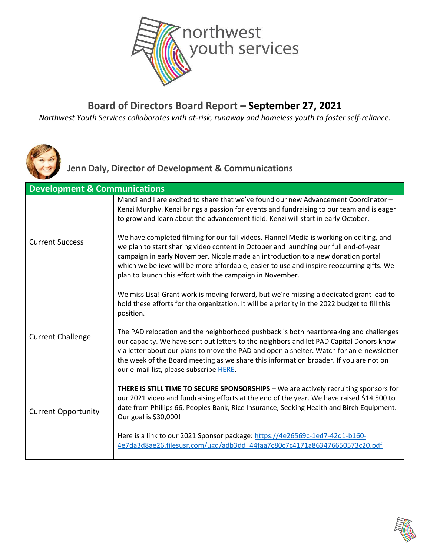

### **Board of Directors Board Report – September 27, 2021**

*Northwest Youth Services collaborates with at-risk, runaway and homeless youth to foster self-reliance.*



### **Jenn Daly, Director of Development & Communications**

| <b>Development &amp; Communications</b> |                                                                                                                                                                                                                                                                                                                                                                                                                               |
|-----------------------------------------|-------------------------------------------------------------------------------------------------------------------------------------------------------------------------------------------------------------------------------------------------------------------------------------------------------------------------------------------------------------------------------------------------------------------------------|
| <b>Current Success</b>                  | Mandi and I are excited to share that we've found our new Advancement Coordinator -<br>Kenzi Murphy. Kenzi brings a passion for events and fundraising to our team and is eager<br>to grow and learn about the advancement field. Kenzi will start in early October.                                                                                                                                                          |
|                                         | We have completed filming for our fall videos. Flannel Media is working on editing, and<br>we plan to start sharing video content in October and launching our full end-of-year<br>campaign in early November. Nicole made an introduction to a new donation portal<br>which we believe will be more affordable, easier to use and inspire reoccurring gifts. We<br>plan to launch this effort with the campaign in November. |
| <b>Current Challenge</b>                | We miss Lisa! Grant work is moving forward, but we're missing a dedicated grant lead to<br>hold these efforts for the organization. It will be a priority in the 2022 budget to fill this<br>position.                                                                                                                                                                                                                        |
|                                         | The PAD relocation and the neighborhood pushback is both heartbreaking and challenges<br>our capacity. We have sent out letters to the neighbors and let PAD Capital Donors know<br>via letter about our plans to move the PAD and open a shelter. Watch for an e-newsletter<br>the week of the Board meeting as we share this information broader. If you are not on<br>our e-mail list, please subscribe HERE.              |
| <b>Current Opportunity</b>              | THERE IS STILL TIME TO SECURE SPONSORSHIPS - We are actively recruiting sponsors for<br>our 2021 video and fundraising efforts at the end of the year. We have raised \$14,500 to<br>date from Phillips 66, Peoples Bank, Rice Insurance, Seeking Health and Birch Equipment.<br>Our goal is \$30,000!                                                                                                                        |
|                                         | Here is a link to our 2021 Sponsor package: https://4e26569c-1ed7-42d1-b160-<br>4e7da3d8ae26.filesusr.com/ugd/adb3dd 44faa7c80c7c4171a863476650573c20.pdf                                                                                                                                                                                                                                                                     |

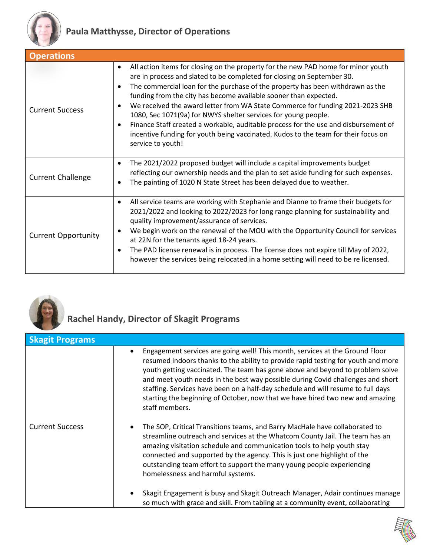

| <b>Operations</b>          |                                                                                                                                                                                                                                                                                                                                                                                                                                                                                                                                                                                                                                                                                                                            |
|----------------------------|----------------------------------------------------------------------------------------------------------------------------------------------------------------------------------------------------------------------------------------------------------------------------------------------------------------------------------------------------------------------------------------------------------------------------------------------------------------------------------------------------------------------------------------------------------------------------------------------------------------------------------------------------------------------------------------------------------------------------|
| <b>Current Success</b>     | All action items for closing on the property for the new PAD home for minor youth<br>$\bullet$<br>are in process and slated to be completed for closing on September 30.<br>The commercial loan for the purchase of the property has been withdrawn as the<br>$\bullet$<br>funding from the city has become available sooner than expected.<br>We received the award letter from WA State Commerce for funding 2021-2023 SHB<br>$\bullet$<br>1080, Sec 1071(9a) for NWYS shelter services for young people.<br>Finance Staff created a workable, auditable process for the use and disbursement of<br>$\bullet$<br>incentive funding for youth being vaccinated. Kudos to the team for their focus on<br>service to youth! |
| <b>Current Challenge</b>   | The 2021/2022 proposed budget will include a capital improvements budget<br>$\bullet$<br>reflecting our ownership needs and the plan to set aside funding for such expenses.<br>The painting of 1020 N State Street has been delayed due to weather.<br>$\bullet$                                                                                                                                                                                                                                                                                                                                                                                                                                                          |
| <b>Current Opportunity</b> | All service teams are working with Stephanie and Dianne to frame their budgets for<br>$\bullet$<br>2021/2022 and looking to 2022/2023 for long range planning for sustainability and<br>quality improvement/assurance of services.<br>We begin work on the renewal of the MOU with the Opportunity Council for services<br>$\bullet$<br>at 22N for the tenants aged 18-24 years.<br>The PAD license renewal is in process. The license does not expire till May of 2022,<br>$\bullet$<br>however the services being relocated in a home setting will need to be re licensed.                                                                                                                                               |



# **Rachel Handy, Director of Skagit Programs**

| <b>Skagit Programs</b> |                                                                                                                                                                                                                                                                                                                                                                                                                                                                                                                              |
|------------------------|------------------------------------------------------------------------------------------------------------------------------------------------------------------------------------------------------------------------------------------------------------------------------------------------------------------------------------------------------------------------------------------------------------------------------------------------------------------------------------------------------------------------------|
|                        | Engagement services are going well! This month, services at the Ground Floor<br>resumed indoors thanks to the ability to provide rapid testing for youth and more<br>youth getting vaccinated. The team has gone above and beyond to problem solve<br>and meet youth needs in the best way possible during Covid challenges and short<br>staffing. Services have been on a half-day schedule and will resume to full days<br>starting the beginning of October, now that we have hired two new and amazing<br>staff members. |
| <b>Current Success</b> | The SOP, Critical Transitions teams, and Barry MacHale have collaborated to<br>streamline outreach and services at the Whatcom County Jail. The team has an<br>amazing visitation schedule and communication tools to help youth stay<br>connected and supported by the agency. This is just one highlight of the<br>outstanding team effort to support the many young people experiencing<br>homelessness and harmful systems.                                                                                              |
|                        | Skagit Engagement is busy and Skagit Outreach Manager, Adair continues manage<br>so much with grace and skill. From tabling at a community event, collaborating                                                                                                                                                                                                                                                                                                                                                              |

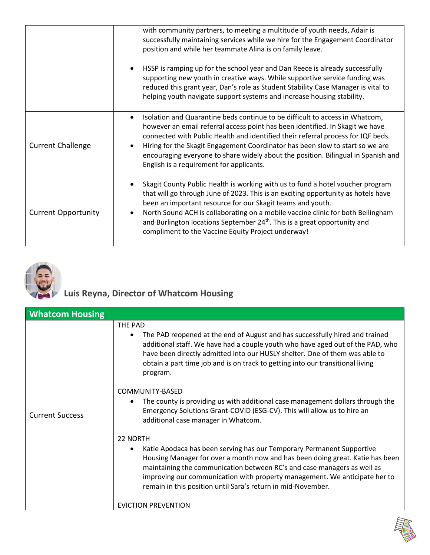|                            | with community partners, to meeting a multitude of youth needs, Adair is<br>successfully maintaining services while we hire for the Engagement Coordinator<br>position and while her teammate Alina is on family leave.                                                                                                                                                                                                                                             |
|----------------------------|---------------------------------------------------------------------------------------------------------------------------------------------------------------------------------------------------------------------------------------------------------------------------------------------------------------------------------------------------------------------------------------------------------------------------------------------------------------------|
|                            | HSSP is ramping up for the school year and Dan Reece is already successfully<br>supporting new youth in creative ways. While supportive service funding was<br>reduced this grant year, Dan's role as Student Stability Case Manager is vital to<br>helping youth navigate support systems and increase housing stability.                                                                                                                                          |
| <b>Current Challenge</b>   | Isolation and Quarantine beds continue to be difficult to access in Whatcom,<br>however an email referral access point has been identified. In Skagit we have<br>connected with Public Health and identified their referral process for IQF beds.<br>Hiring for the Skagit Engagement Coordinator has been slow to start so we are<br>encouraging everyone to share widely about the position. Bilingual in Spanish and<br>English is a requirement for applicants. |
| <b>Current Opportunity</b> | Skagit County Public Health is working with us to fund a hotel voucher program<br>that will go through June of 2023. This is an exciting opportunity as hotels have<br>been an important resource for our Skagit teams and youth.<br>North Sound ACH is collaborating on a mobile vaccine clinic for both Bellingham<br>and Burlington locations September 24 <sup>th</sup> . This is a great opportunity and<br>compliment to the Vaccine Equity Project underway! |



## **Luis Reyna, Director of Whatcom Housing**

| <b>Whatcom Housing</b> |                                                                                                                                                                                                                                                                                                                                                                                 |
|------------------------|---------------------------------------------------------------------------------------------------------------------------------------------------------------------------------------------------------------------------------------------------------------------------------------------------------------------------------------------------------------------------------|
| <b>Current Success</b> | THE PAD<br>The PAD reopened at the end of August and has successfully hired and trained<br>$\bullet$<br>additional staff. We have had a couple youth who have aged out of the PAD, who<br>have been directly admitted into our HUSLY shelter. One of them was able to<br>obtain a part time job and is on track to getting into our transitional living<br>program.             |
|                        | COMMUNITY-BASED<br>The county is providing us with additional case management dollars through the<br>$\bullet$<br>Emergency Solutions Grant-COVID (ESG-CV). This will allow us to hire an<br>additional case manager in Whatcom.                                                                                                                                                |
|                        | 22 NORTH                                                                                                                                                                                                                                                                                                                                                                        |
|                        | Katie Apodaca has been serving has our Temporary Permanent Supportive<br>Housing Manager for over a month now and has been doing great. Katie has been<br>maintaining the communication between RC's and case managers as well as<br>improving our communication with property management. We anticipate her to<br>remain in this position until Sara's return in mid-November. |
|                        | <b>EVICTION PREVENTION</b>                                                                                                                                                                                                                                                                                                                                                      |

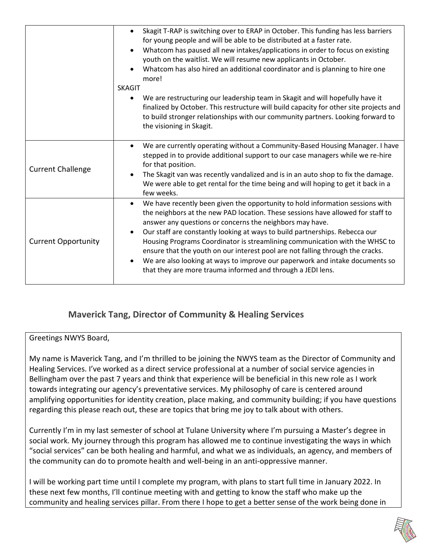|                            | Skagit T-RAP is switching over to ERAP in October. This funding has less barriers<br>for young people and will be able to be distributed at a faster rate.<br>Whatcom has paused all new intakes/applications in order to focus on existing<br>youth on the waitlist. We will resume new applicants in October.<br>Whatcom has also hired an additional coordinator and is planning to hire one<br>more!<br><b>SKAGIT</b>                                                                                                                                                                                                                |
|----------------------------|------------------------------------------------------------------------------------------------------------------------------------------------------------------------------------------------------------------------------------------------------------------------------------------------------------------------------------------------------------------------------------------------------------------------------------------------------------------------------------------------------------------------------------------------------------------------------------------------------------------------------------------|
|                            | We are restructuring our leadership team in Skagit and will hopefully have it<br>finalized by October. This restructure will build capacity for other site projects and<br>to build stronger relationships with our community partners. Looking forward to<br>the visioning in Skagit.                                                                                                                                                                                                                                                                                                                                                   |
| <b>Current Challenge</b>   | We are currently operating without a Community-Based Housing Manager. I have<br>stepped in to provide additional support to our case managers while we re-hire<br>for that position.<br>The Skagit van was recently vandalized and is in an auto shop to fix the damage.<br>We were able to get rental for the time being and will hoping to get it back in a<br>few weeks.                                                                                                                                                                                                                                                              |
| <b>Current Opportunity</b> | We have recently been given the opportunity to hold information sessions with<br>$\bullet$<br>the neighbors at the new PAD location. These sessions have allowed for staff to<br>answer any questions or concerns the neighbors may have.<br>Our staff are constantly looking at ways to build partnerships. Rebecca our<br>Housing Programs Coordinator is streamlining communication with the WHSC to<br>ensure that the youth on our interest pool are not falling through the cracks.<br>We are also looking at ways to improve our paperwork and intake documents so<br>that they are more trauma informed and through a JEDI lens. |

#### **Maverick Tang, Director of Community & Healing Services**

Greetings NWYS Board,

My name is Maverick Tang, and I'm thrilled to be joining the NWYS team as the Director of Community and Healing Services. I've worked as a direct service professional at a number of social service agencies in Bellingham over the past 7 years and think that experience will be beneficial in this new role as I work towards integrating our agency's preventative services. My philosophy of care is centered around amplifying opportunities for identity creation, place making, and community building; if you have questions regarding this please reach out, these are topics that bring me joy to talk about with others.

Currently I'm in my last semester of school at Tulane University where I'm pursuing a Master's degree in social work. My journey through this program has allowed me to continue investigating the ways in which "social services" can be both healing and harmful, and what we as individuals, an agency, and members of the community can do to promote health and well-being in an anti-oppressive manner.

I will be working part time until I complete my program, with plans to start full time in January 2022. In these next few months, I'll continue meeting with and getting to know the staff who make up the community and healing services pillar. From there I hope to get a better sense of the work being done in

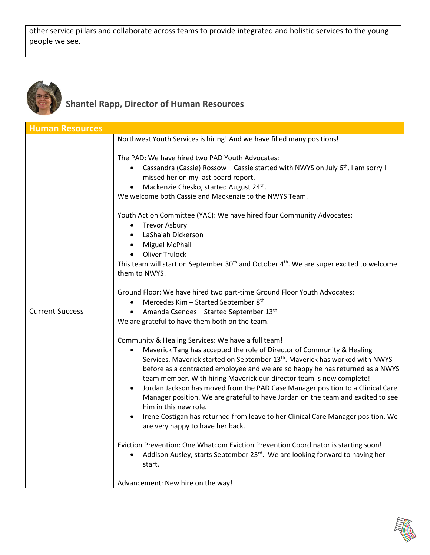other service pillars and collaborate across teams to provide integrated and holistic services to the young people we see.



## **Shantel Rapp, Director of Human Resources**

| <b>Human Resources</b> |                                                                                                                                                                                                                                                                                                                                                                                                                                                                                                                                                                                                                                                                                                         |
|------------------------|---------------------------------------------------------------------------------------------------------------------------------------------------------------------------------------------------------------------------------------------------------------------------------------------------------------------------------------------------------------------------------------------------------------------------------------------------------------------------------------------------------------------------------------------------------------------------------------------------------------------------------------------------------------------------------------------------------|
|                        | Northwest Youth Services is hiring! And we have filled many positions!                                                                                                                                                                                                                                                                                                                                                                                                                                                                                                                                                                                                                                  |
| <b>Current Success</b> | The PAD: We have hired two PAD Youth Advocates:<br>Cassandra (Cassie) Rossow – Cassie started with NWYS on July $6th$ , I am sorry I<br>missed her on my last board report.<br>Mackenzie Chesko, started August 24th.<br>We welcome both Cassie and Mackenzie to the NWYS Team.                                                                                                                                                                                                                                                                                                                                                                                                                         |
|                        | Youth Action Committee (YAC): We have hired four Community Advocates:<br><b>Trevor Asbury</b><br>$\bullet$<br>• LaShaiah Dickerson<br>• Miguel McPhail<br>• Oliver Trulock<br>This team will start on September 30 <sup>th</sup> and October 4 <sup>th</sup> . We are super excited to welcome<br>them to NWYS!                                                                                                                                                                                                                                                                                                                                                                                         |
|                        | Ground Floor: We have hired two part-time Ground Floor Youth Advocates:<br>Mercedes Kim - Started September 8th<br>$\bullet$<br>• Amanda Csendes - Started September 13th<br>We are grateful to have them both on the team.                                                                                                                                                                                                                                                                                                                                                                                                                                                                             |
|                        | Community & Healing Services: We have a full team!<br>Maverick Tang has accepted the role of Director of Community & Healing<br>Services. Maverick started on September 13 <sup>th</sup> . Maverick has worked with NWYS<br>before as a contracted employee and we are so happy he has returned as a NWYS<br>team member. With hiring Maverick our director team is now complete!<br>Jordan Jackson has moved from the PAD Case Manager position to a Clinical Care<br>Manager position. We are grateful to have Jordan on the team and excited to see<br>him in this new role.<br>Irene Costigan has returned from leave to her Clinical Care Manager position. We<br>are very happy to have her back. |
|                        | Eviction Prevention: One Whatcom Eviction Prevention Coordinator is starting soon!<br>Addison Ausley, starts September 23rd. We are looking forward to having her<br>start.                                                                                                                                                                                                                                                                                                                                                                                                                                                                                                                             |
|                        | Advancement: New hire on the way!                                                                                                                                                                                                                                                                                                                                                                                                                                                                                                                                                                                                                                                                       |

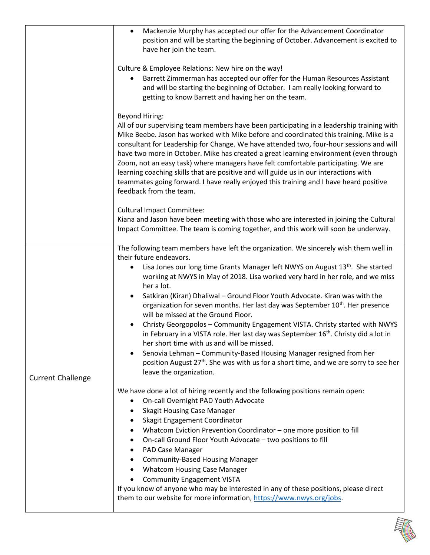|                          | Mackenzie Murphy has accepted our offer for the Advancement Coordinator<br>$\bullet$<br>position and will be starting the beginning of October. Advancement is excited to<br>have her join the team.                                                                                                                                                                                                                                                                                                                                                                                                                                                                                                 |
|--------------------------|------------------------------------------------------------------------------------------------------------------------------------------------------------------------------------------------------------------------------------------------------------------------------------------------------------------------------------------------------------------------------------------------------------------------------------------------------------------------------------------------------------------------------------------------------------------------------------------------------------------------------------------------------------------------------------------------------|
|                          | Culture & Employee Relations: New hire on the way!<br>Barrett Zimmerman has accepted our offer for the Human Resources Assistant<br>and will be starting the beginning of October. I am really looking forward to<br>getting to know Barrett and having her on the team.                                                                                                                                                                                                                                                                                                                                                                                                                             |
|                          | <b>Beyond Hiring:</b><br>All of our supervising team members have been participating in a leadership training with<br>Mike Beebe. Jason has worked with Mike before and coordinated this training. Mike is a<br>consultant for Leadership for Change. We have attended two, four-hour sessions and will<br>have two more in October. Mike has created a great learning environment (even through<br>Zoom, not an easy task) where managers have felt comfortable participating. We are<br>learning coaching skills that are positive and will guide us in our interactions with<br>teammates going forward. I have really enjoyed this training and I have heard positive<br>feedback from the team. |
|                          | <b>Cultural Impact Committee:</b><br>Kiana and Jason have been meeting with those who are interested in joining the Cultural<br>Impact Committee. The team is coming together, and this work will soon be underway.                                                                                                                                                                                                                                                                                                                                                                                                                                                                                  |
| <b>Current Challenge</b> | The following team members have left the organization. We sincerely wish them well in<br>their future endeavors.<br>Lisa Jones our long time Grants Manager left NWYS on August 13 <sup>th</sup> . She started<br>$\bullet$<br>working at NWYS in May of 2018. Lisa worked very hard in her role, and we miss<br>her a lot.<br>Satkiran (Kiran) Dhaliwal - Ground Floor Youth Advocate. Kiran was with the<br>organization for seven months. Her last day was September 10 <sup>th</sup> . Her presence                                                                                                                                                                                              |
|                          | will be missed at the Ground Floor.<br>Christy Georgopolos - Community Engagement VISTA. Christy started with NWYS<br>in February in a VISTA role. Her last day was September 16 <sup>th</sup> . Christy did a lot in<br>her short time with us and will be missed.<br>Senovia Lehman - Community-Based Housing Manager resigned from her<br>position August 27 <sup>th</sup> . She was with us for a short time, and we are sorry to see her<br>leave the organization.                                                                                                                                                                                                                             |
|                          | We have done a lot of hiring recently and the following positions remain open:<br>On-call Overnight PAD Youth Advocate<br>$\bullet$<br><b>Skagit Housing Case Manager</b><br>٠<br>Skagit Engagement Coordinator<br>Whatcom Eviction Prevention Coordinator - one more position to fill<br>٠<br>On-call Ground Floor Youth Advocate - two positions to fill<br>٠<br>PAD Case Manager<br>٠<br><b>Community-Based Housing Manager</b><br>$\bullet$<br><b>Whatcom Housing Case Manager</b><br>$\bullet$<br><b>Community Engagement VISTA</b><br>If you know of anyone who may be interested in any of these positions, please direct                                                                     |
|                          | them to our website for more information, https://www.nwys.org/jobs.                                                                                                                                                                                                                                                                                                                                                                                                                                                                                                                                                                                                                                 |